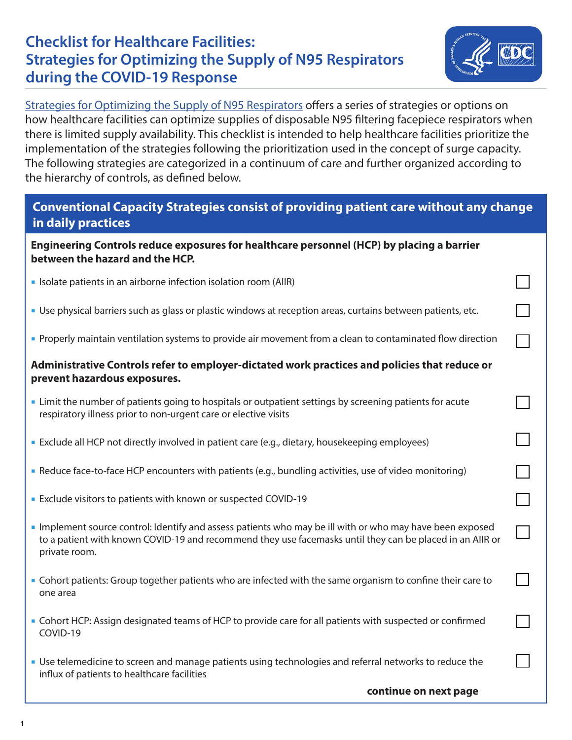## **Checklist for Healthcare Facilities: Strategies for Optimizing the Supply of N95 Respirators during the COVID-19 Response**



[Strategies for Optimizing the Supply of N95 Respirators](https://www.cdc.gov/coronavirus/2019-ncov/hcp/respirators-strategy/index.html?CDC_AA_refVal=https%3A%2F%2Fwww.cdc.gov%2Fcoronavirus%2F2019-ncov%2Fhcp%2Frespirator-supply-strategies.html) offers a series of strategies or options on how healthcare facilities can optimize supplies of disposable N95 filtering facepiece respirators when there is limited supply availability. This checklist is intended to help healthcare facilities prioritize the implementation of the strategies following the prioritization used in the concept of surge capacity. The following strategies are categorized in a continuum of care and further organized according to the hierarchy of controls, as defined below.

## **Conventional Capacity Strategies consist of providing patient care without any change in daily practices**

**Engineering Controls reduce exposures for healthcare personnel (HCP) by placing a barrier between the hazard and the HCP.**

- **ISOlate patients in an airborne infection isolation room (AIIR)**
- Use physical barriers such as glass or plastic windows at reception areas, curtains between patients, etc.
- **Properly maintain ventilation systems to provide air movement from a clean to contaminated flow direction**

#### **Administrative Controls refer to employer-dictated work practices and policies that reduce or prevent hazardous exposures.**

- Limit the number of patients going to hospitals or outpatient settings by screening patients for acute respiratory illness prior to non-urgent care or elective visits
- Exclude all HCP not directly involved in patient care (e.g., dietary, housekeeping employees)
- Reduce face-to-face HCP encounters with patients (e.g., bundling activities, use of video monitoring)
- **Exclude visitors to patients with known or suspected COVID-19**
- Implement source control: Identify and assess patients who may be ill with or who may have been exposed to a patient with known COVID-19 and recommend they use facemasks until they can be placed in an AIIR or private room.
- Cohort patients: Group together patients who are infected with the same organism to confine their care to one area
- Cohort HCP: Assign designated teams of HCP to provide care for all patients with suspected or confirmed COVID-19
- Use telemedicine to screen and manage patients using technologies and referral networks to reduce the influx of patients to healthcare facilities

**continue on next page**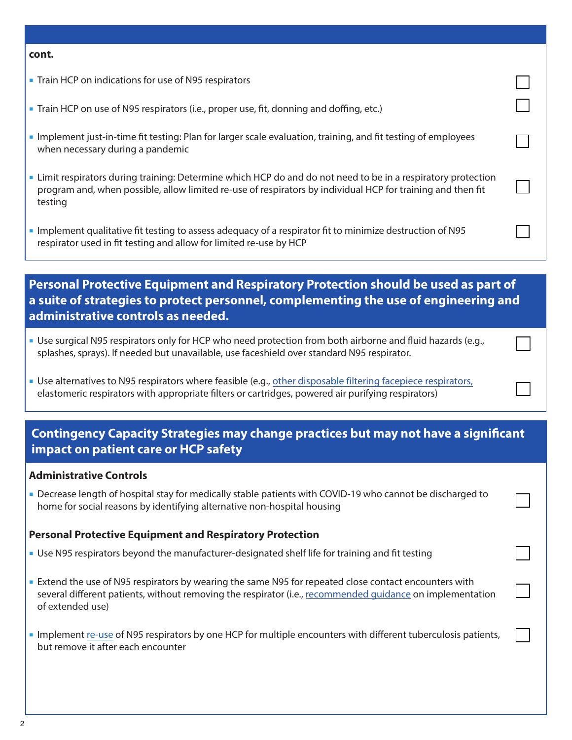#### **cont.**

- Train HCP on indications for use of N95 respirators
- Train HCP on use of N95 respirators (i.e., proper use, fit, donning and doffing, etc.)
- Implement just-in-time fit testing: Plan for larger scale evaluation, training, and fit testing of employees when necessary during a pandemic
- Limit respirators during training: Determine which HCP do and do not need to be in a respiratory protection program and, when possible, allow limited re-use of respirators by individual HCP for training and then fit testing
- Implement qualitative fit testing to assess adequacy of a respirator fit to minimize destruction of N95 respirator used in fit testing and allow for limited re-use by HCP

## **Personal Protective Equipment and Respiratory Protection should be used as part of a suite of strategies to protect personnel, complementing the use of engineering and administrative controls as needed.**

- Use surgical N95 respirators only for HCP who need protection from both airborne and fluid hazards (e.g., splashes, sprays). If needed but unavailable, use faceshield over standard N95 respirator.
- Use alternatives to N95 respirators where feasible (e.g., [other disposable filtering facepiece respirators,](https://www.cdc.gov/niosh/npptl/topics/respirators/disp_part/default.html) elastomeric respirators with appropriate filters or cartridges, powered air purifying respirators)

## **Contingency Capacity Strategies may change practices but may not have a significant impact on patient care or HCP safety**

#### **Administrative Controls**

 Decrease length of hospital stay for medically stable patients with COVID-19 who cannot be discharged to home for social reasons by identifying alternative non-hospital housing

#### **Personal Protective Equipment and Respiratory Protection**

- Use N95 respirators beyond the manufacturer-designated shelf life for training and fit testing
- Extend the use of N95 respirators by wearing the same N95 for repeated close contact encounters with several different patients, without removing the respirator (i.e., [recommended guidance](https://www.cdc.gov/niosh/topics/hcwcontrols/recommendedguidanceextuse.html) on implementation of extended use)
- Implement [re-use](https://www.cdc.gov/niosh/topics/hcwcontrols/recommendedguidanceextuse.html) of N95 respirators by one HCP for multiple encounters with different tuberculosis patients, but remove it after each encounter